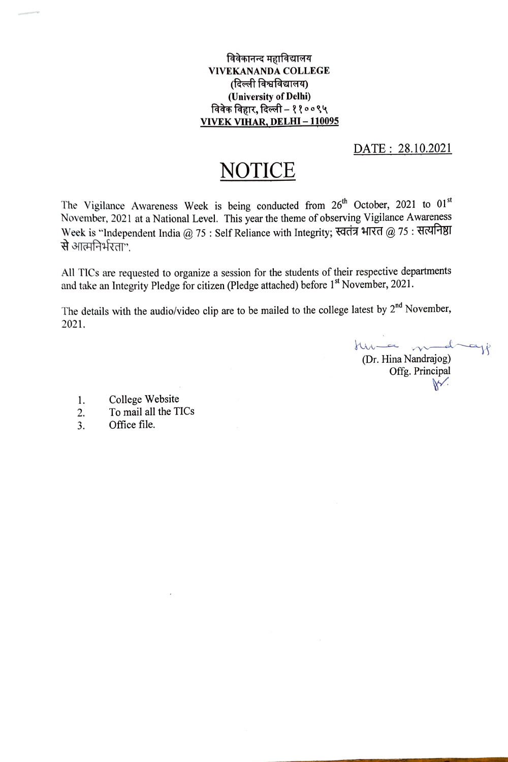विवेकानन्द महाविद्यालय VIVEKANANDA COLLEGE (दिल्ली विश्वविद्यालय) (University of Delhi) विवेक विहार, दिल्ली – ११००९५ VIVEK VIHAR, DELHI-110095

## DATE: 28.10.2021

## NOTICE

The Vigilance Awareness Week is being conducted from 26<sup>th</sup> October, 2021 to 01<sup>st</sup> November, 2021 at a National Level. This year the theme of observing Vigilance Awareness Week is "Independent India @ 75 : Self Reliance with Integrity; स्वतंत्र भारत @ 75: सत्यनिष्ठा से आत्मनिर्भरता".

All TICs are requested to organize a session for the students of their respective departments and take an Integrity Pledge for citizen (Pledge attached) before 1<sup>st</sup> November, 2021.

The details with the audio/video clip are to be mailed to the college latest by  $2^{nd}$  November, 2021.

Kuma m  $-$ d ajf (Dr. Hina Nandrajog) Offg. Principal

- College Website .
- To mail all the TICs 2
- Office file. 3.